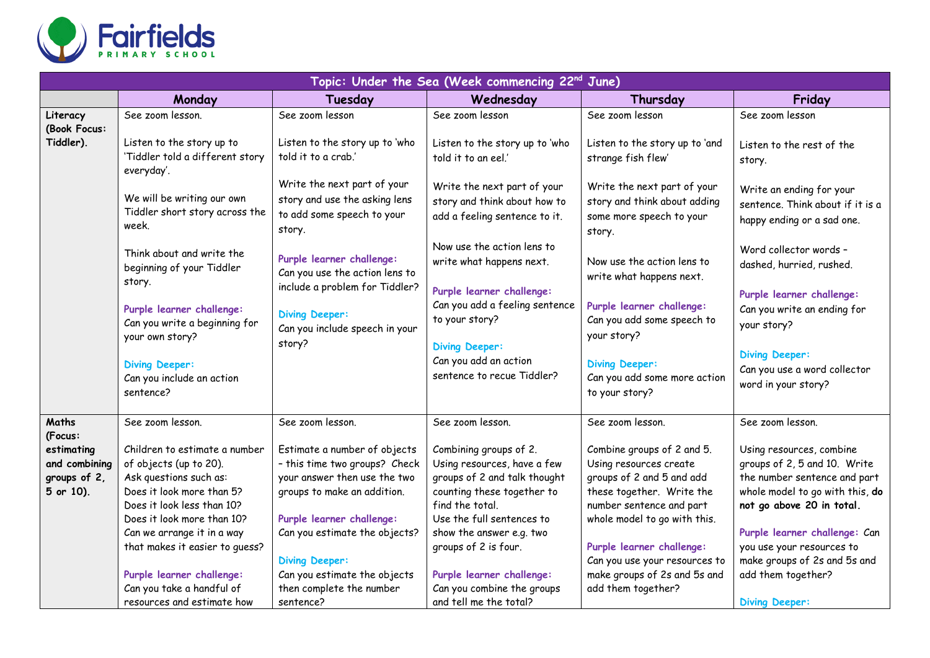

| Topic: Under the Sea (Week commencing 22 <sup>nd</sup> June) |                                                                                                                                                                                                          |                                                                                                                                                                                            |                                                                                                                                                                                                 |                                                                                                                                                                            |                                                                                                                                                                                           |  |  |  |
|--------------------------------------------------------------|----------------------------------------------------------------------------------------------------------------------------------------------------------------------------------------------------------|--------------------------------------------------------------------------------------------------------------------------------------------------------------------------------------------|-------------------------------------------------------------------------------------------------------------------------------------------------------------------------------------------------|----------------------------------------------------------------------------------------------------------------------------------------------------------------------------|-------------------------------------------------------------------------------------------------------------------------------------------------------------------------------------------|--|--|--|
|                                                              | Monday                                                                                                                                                                                                   | Tuesday                                                                                                                                                                                    | Wednesday                                                                                                                                                                                       | Thursday                                                                                                                                                                   | Friday                                                                                                                                                                                    |  |  |  |
| Literacy<br>(Book Focus:                                     | See zoom lesson.                                                                                                                                                                                         | See zoom lesson                                                                                                                                                                            | See zoom lesson                                                                                                                                                                                 | See zoom lesson                                                                                                                                                            | See zoom lesson                                                                                                                                                                           |  |  |  |
| Tiddler).                                                    | Listen to the story up to<br>'Tiddler told a different story<br>everyday'.                                                                                                                               | Listen to the story up to 'who<br>told it to a crab.'                                                                                                                                      | Listen to the story up to 'who<br>told it to an eel.'                                                                                                                                           | Listen to the story up to 'and<br>strange fish flew'                                                                                                                       | Listen to the rest of the<br>story.                                                                                                                                                       |  |  |  |
|                                                              | We will be writing our own<br>Tiddler short story across the<br>week.                                                                                                                                    | Write the next part of your<br>story and use the asking lens<br>to add some speech to your<br>story.                                                                                       | Write the next part of your<br>story and think about how to<br>add a feeling sentence to it.                                                                                                    | Write the next part of your<br>story and think about adding<br>some more speech to your<br>story.                                                                          | Write an ending for your<br>sentence. Think about if it is a<br>happy ending or a sad one.                                                                                                |  |  |  |
|                                                              | Think about and write the<br>beginning of your Tiddler<br>story.                                                                                                                                         | Purple learner challenge:<br>Can you use the action lens to<br>include a problem for Tiddler?                                                                                              | Now use the action lens to<br>write what happens next.<br>Purple learner challenge:                                                                                                             | Now use the action lens to<br>write what happens next.                                                                                                                     | Word collector words -<br>dashed, hurried, rushed.                                                                                                                                        |  |  |  |
|                                                              | Purple learner challenge:<br>Can you write a beginning for<br>your own story?                                                                                                                            | <b>Diving Deeper:</b><br>Can you include speech in your<br>story?                                                                                                                          | Can you add a feeling sentence<br>to your story?<br><b>Diving Deeper:</b>                                                                                                                       | Purple learner challenge:<br>Can you add some speech to<br>your story?                                                                                                     | Purple learner challenge:<br>Can you write an ending for<br>your story?                                                                                                                   |  |  |  |
|                                                              | <b>Diving Deeper:</b><br>Can you include an action<br>sentence?                                                                                                                                          |                                                                                                                                                                                            | Can you add an action<br>sentence to recue Tiddler?                                                                                                                                             | <b>Diving Deeper:</b><br>Can you add some more action<br>to your story?                                                                                                    | <b>Diving Deeper:</b><br>Can you use a word collector<br>word in your story?                                                                                                              |  |  |  |
| Maths<br>(Focus:                                             | See zoom lesson.                                                                                                                                                                                         | See zoom lesson.                                                                                                                                                                           | See zoom lesson.                                                                                                                                                                                | See zoom lesson.                                                                                                                                                           | See zoom lesson.                                                                                                                                                                          |  |  |  |
| estimating<br>and combining<br>groups of 2,<br>5 or 10).     | Children to estimate a number<br>of objects (up to 20).<br>Ask questions such as:<br>Does it look more than 5?<br>Does it look less than 10?<br>Does it look more than 10?<br>Can we arrange it in a way | Estimate a number of objects<br>- this time two groups? Check<br>your answer then use the two<br>groups to make an addition.<br>Purple learner challenge:<br>Can you estimate the objects? | Combining groups of 2.<br>Using resources, have a few<br>groups of 2 and talk thought<br>counting these together to<br>find the total.<br>Use the full sentences to<br>show the answer e.g. two | Combine groups of 2 and 5.<br>Using resources create<br>groups of 2 and 5 and add<br>these together. Write the<br>number sentence and part<br>whole model to go with this. | Using resources, combine<br>groups of 2, 5 and 10. Write<br>the number sentence and part<br>whole model to go with this, do<br>not go above 20 in total.<br>Purple learner challenge: Can |  |  |  |
|                                                              | that makes it easier to guess?<br>Purple learner challenge:<br>Can you take a handful of<br>resources and estimate how                                                                                   | <b>Diving Deeper:</b><br>Can you estimate the objects<br>then complete the number<br>sentence?                                                                                             | groups of 2 is four.<br>Purple learner challenge:<br>Can you combine the groups<br>and tell me the total?                                                                                       | Purple learner challenge:<br>Can you use your resources to<br>make groups of 2s and 5s and<br>add them together?                                                           | you use your resources to<br>make groups of 2s and 5s and<br>add them together?<br><b>Diving Deeper:</b>                                                                                  |  |  |  |